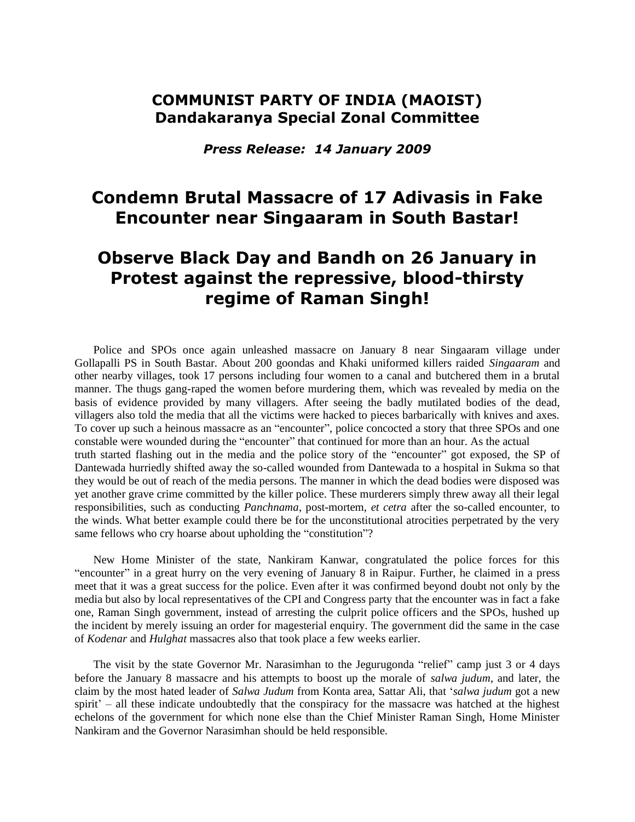## **COMMUNIST PARTY OF INDIA (MAOIST) Dandakaranya Special Zonal Committee**

*Press Release: 14 January 2009*

## **Condemn Brutal Massacre of 17 Adivasis in Fake Encounter near Singaaram in South Bastar!**

## **Observe Black Day and Bandh on 26 January in Protest against the repressive, blood-thirsty regime of Raman Singh!**

Police and SPOs once again unleashed massacre on January 8 near Singaaram village under Gollapalli PS in South Bastar. About 200 goondas and Khaki uniformed killers raided *Singaaram* and other nearby villages, took 17 persons including four women to a canal and butchered them in a brutal manner. The thugs gang-raped the women before murdering them, which was revealed by media on the basis of evidence provided by many villagers. After seeing the badly mutilated bodies of the dead, villagers also told the media that all the victims were hacked to pieces barbarically with knives and axes. To cover up such a heinous massacre as an "encounter", police concocted a story that three SPOs and one constable were wounded during the "encounter" that continued for more than an hour. As the actual truth started flashing out in the media and the police story of the "encounter" got exposed, the SP of Dantewada hurriedly shifted away the so-called wounded from Dantewada to a hospital in Sukma so that they would be out of reach of the media persons. The manner in which the dead bodies were disposed was yet another grave crime committed by the killer police. These murderers simply threw away all their legal responsibilities, such as conducting *Panchnama*, post-mortem, *et cetra* after the so-called encounter, to the winds. What better example could there be for the unconstitutional atrocities perpetrated by the very same fellows who cry hoarse about upholding the "constitution"?

New Home Minister of the state, Nankiram Kanwar, congratulated the police forces for this "encounter" in a great hurry on the very evening of January 8 in Raipur. Further, he claimed in a press meet that it was a great success for the police. Even after it was confirmed beyond doubt not only by the media but also by local representatives of the CPI and Congress party that the encounter was in fact a fake one, Raman Singh government, instead of arresting the culprit police officers and the SPOs, hushed up the incident by merely issuing an order for magesterial enquiry. The government did the same in the case of *Kodenar* and *Hulghat* massacres also that took place a few weeks earlier.

The visit by the state Governor Mr. Narasimhan to the Jegurugonda "relief" camp just 3 or 4 days before the January 8 massacre and his attempts to boost up the morale of *salwa judum*, and later, the claim by the most hated leader of *Salwa Judum* from Konta area, Sattar Ali, that "*salwa judum* got a new spirit' – all these indicate undoubtedly that the conspiracy for the massacre was hatched at the highest echelons of the government for which none else than the Chief Minister Raman Singh, Home Minister Nankiram and the Governor Narasimhan should be held responsible.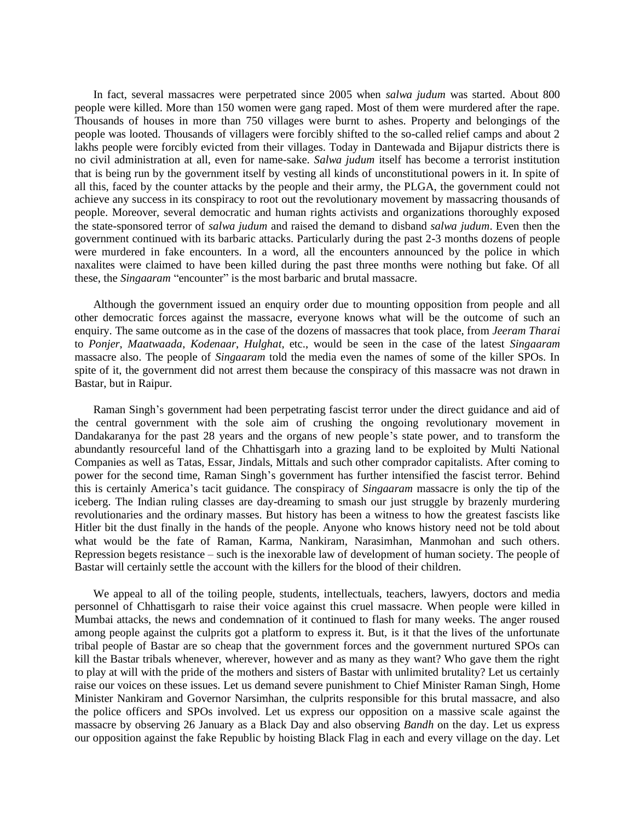In fact, several massacres were perpetrated since 2005 when *salwa judum* was started. About 800 people were killed. More than 150 women were gang raped. Most of them were murdered after the rape. Thousands of houses in more than 750 villages were burnt to ashes. Property and belongings of the people was looted. Thousands of villagers were forcibly shifted to the so-called relief camps and about 2 lakhs people were forcibly evicted from their villages. Today in Dantewada and Bijapur districts there is no civil administration at all, even for name-sake. *Salwa judum* itself has become a terrorist institution that is being run by the government itself by vesting all kinds of unconstitutional powers in it. In spite of all this, faced by the counter attacks by the people and their army, the PLGA, the government could not achieve any success in its conspiracy to root out the revolutionary movement by massacring thousands of people. Moreover, several democratic and human rights activists and organizations thoroughly exposed the state-sponsored terror of *salwa judum* and raised the demand to disband *salwa judum*. Even then the government continued with its barbaric attacks. Particularly during the past 2-3 months dozens of people were murdered in fake encounters. In a word, all the encounters announced by the police in which naxalites were claimed to have been killed during the past three months were nothing but fake. Of all these, the *Singaaram* "encounter" is the most barbaric and brutal massacre.

Although the government issued an enquiry order due to mounting opposition from people and all other democratic forces against the massacre, everyone knows what will be the outcome of such an enquiry. The same outcome as in the case of the dozens of massacres that took place, from *Jeeram Tharai*  to *Ponjer*, *Maatwaada*, *Kodenaar*, *Hulghat*, etc., would be seen in the case of the latest *Singaaram*  massacre also. The people of *Singaaram* told the media even the names of some of the killer SPOs. In spite of it, the government did not arrest them because the conspiracy of this massacre was not drawn in Bastar, but in Raipur.

Raman Singh"s government had been perpetrating fascist terror under the direct guidance and aid of the central government with the sole aim of crushing the ongoing revolutionary movement in Dandakaranya for the past 28 years and the organs of new people"s state power, and to transform the abundantly resourceful land of the Chhattisgarh into a grazing land to be exploited by Multi National Companies as well as Tatas, Essar, Jindals, Mittals and such other comprador capitalists. After coming to power for the second time, Raman Singh"s government has further intensified the fascist terror. Behind this is certainly America"s tacit guidance. The conspiracy of *Singaaram* massacre is only the tip of the iceberg. The Indian ruling classes are day-dreaming to smash our just struggle by brazenly murdering revolutionaries and the ordinary masses. But history has been a witness to how the greatest fascists like Hitler bit the dust finally in the hands of the people. Anyone who knows history need not be told about what would be the fate of Raman, Karma, Nankiram, Narasimhan, Manmohan and such others. Repression begets resistance – such is the inexorable law of development of human society. The people of Bastar will certainly settle the account with the killers for the blood of their children.

We appeal to all of the toiling people, students, intellectuals, teachers, lawyers, doctors and media personnel of Chhattisgarh to raise their voice against this cruel massacre. When people were killed in Mumbai attacks, the news and condemnation of it continued to flash for many weeks. The anger roused among people against the culprits got a platform to express it. But, is it that the lives of the unfortunate tribal people of Bastar are so cheap that the government forces and the government nurtured SPOs can kill the Bastar tribals whenever, wherever, however and as many as they want? Who gave them the right to play at will with the pride of the mothers and sisters of Bastar with unlimited brutality? Let us certainly raise our voices on these issues. Let us demand severe punishment to Chief Minister Raman Singh, Home Minister Nankiram and Governor Narsimhan, the culprits responsible for this brutal massacre, and also the police officers and SPOs involved. Let us express our opposition on a massive scale against the massacre by observing 26 January as a Black Day and also observing *Bandh* on the day. Let us express our opposition against the fake Republic by hoisting Black Flag in each and every village on the day. Let